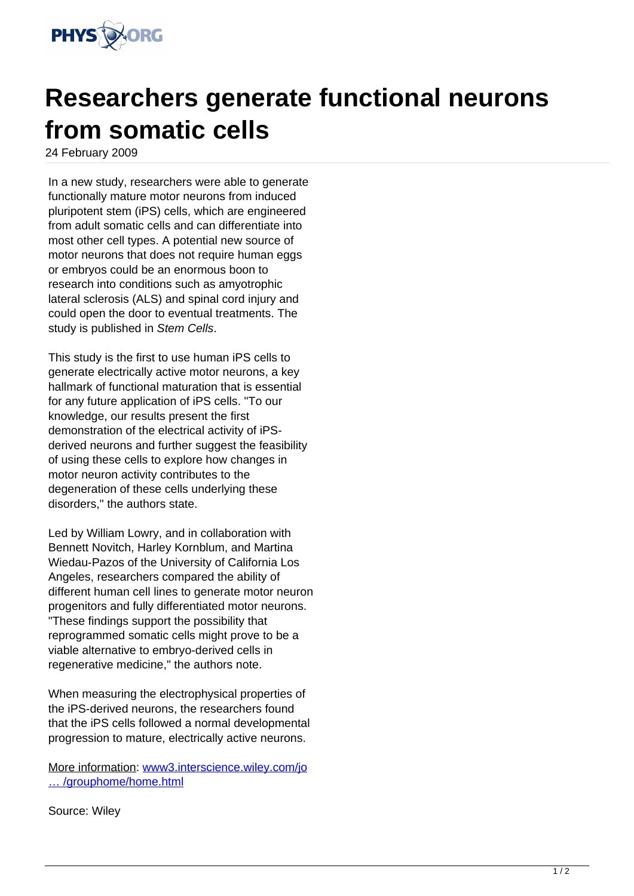

## **Researchers generate functional neurons from somatic cells**

24 February 2009

In a new study, researchers were able to generate functionally mature motor neurons from induced pluripotent stem (iPS) cells, which are engineered from adult somatic cells and can differentiate into most other cell types. A potential new source of motor neurons that does not require human eggs or embryos could be an enormous boon to research into conditions such as amyotrophic lateral sclerosis (ALS) and spinal cord injury and could open the door to eventual treatments. The study is published in Stem Cells.

This study is the first to use human iPS cells to generate electrically active motor neurons, a key hallmark of functional maturation that is essential for any future application of iPS cells. "To our knowledge, our results present the first demonstration of the electrical activity of iPSderived neurons and further suggest the feasibility of using these cells to explore how changes in motor neuron activity contributes to the degeneration of these cells underlying these disorders," the authors state.

Led by William Lowry, and in collaboration with Bennett Novitch, Harley Kornblum, and Martina Wiedau-Pazos of the University of California Los Angeles, researchers compared the ability of different human cell lines to generate motor neuron progenitors and fully differentiated motor neurons. "These findings support the possibility that reprogrammed somatic cells might prove to be a viable alternative to embryo-derived cells in regenerative medicine," the authors note.

When measuring the electrophysical properties of the iPS-derived neurons, the researchers found that the iPS cells followed a normal developmental progression to mature, electrically active neurons.

More information: [www3.interscience.wiley.com/jo](http://www3.interscience.wiley.com/journal/121607285/grouphome/home.html) [… /grouphome/home.html](http://www3.interscience.wiley.com/journal/121607285/grouphome/home.html)

Source: Wiley